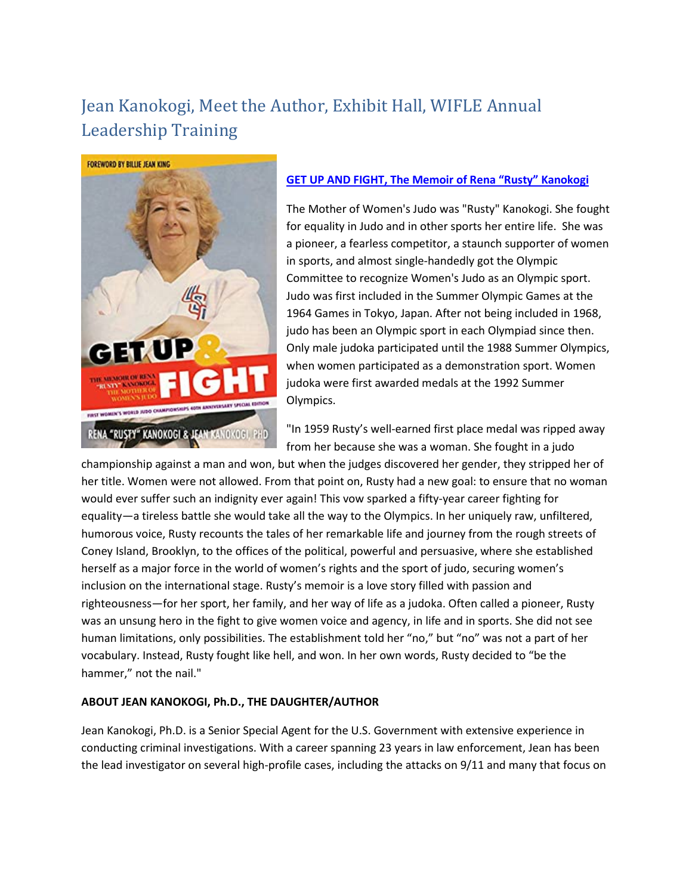## Jean Kanokogi, Meet the Author, Exhibit Hall, WIFLE Annual Leadership Training



## **[GET UP AND FIGHT, The Memoir of Rena "Rusty" Kanokogi](https://www.amazon.com/Get-Up-Fight-Kanokogi-Special-ebook/dp/B08VDG74NV/ref=sr_1_1?dchild=1&keywords=Jean+Kanokogi&qid=1624620965&s=digital-text&sr=1-1)**

The Mother of Women's Judo was "Rusty" Kanokogi. She fought for equality in Judo and in other sports her entire life. She was a pioneer, a fearless competitor, a staunch supporter of women in sports, and almost single-handedly got the Olympic Committee to recognize Women's Judo as an Olympic sport. Judo was first included in the Summer Olympic Games at the 1964 Games in Tokyo, Japan. After not being included in 1968, judo has been an Olympic sport in each Olympiad since then. Only male judoka participated until the 1988 Summer Olympics, when women participated as a demonstration sport. Women judoka were first awarded medals at the 1992 Summer Olympics.

"In 1959 Rusty's well-earned first place medal was ripped away from her because she was a woman. She fought in a judo

championship against a man and won, but when the judges discovered her gender, they stripped her of her title. Women were not allowed. From that point on, Rusty had a new goal: to ensure that no woman would ever suffer such an indignity ever again! This vow sparked a fifty-year career fighting for equality—a tireless battle she would take all the way to the Olympics. In her uniquely raw, unfiltered, humorous voice, Rusty recounts the tales of her remarkable life and journey from the rough streets of Coney Island, Brooklyn, to the offices of the political, powerful and persuasive, where she established herself as a major force in the world of women's rights and the sport of judo, securing women's inclusion on the international stage. Rusty's memoir is a love story filled with passion and righteousness—for her sport, her family, and her way of life as a judoka. Often called a pioneer, Rusty was an unsung hero in the fight to give women voice and agency, in life and in sports. She did not see human limitations, only possibilities. The establishment told her "no," but "no" was not a part of her vocabulary. Instead, Rusty fought like hell, and won. In her own words, Rusty decided to "be the hammer," not the nail."

## **ABOUT JEAN KANOKOGI, Ph.D., THE DAUGHTER/AUTHOR**

Jean Kanokogi, Ph.D. is a Senior Special Agent for the U.S. Government with extensive experience in conducting criminal investigations. With a career spanning 23 years in law enforcement, Jean has been the lead investigator on several high-profile cases, including the attacks on 9/11 and many that focus on